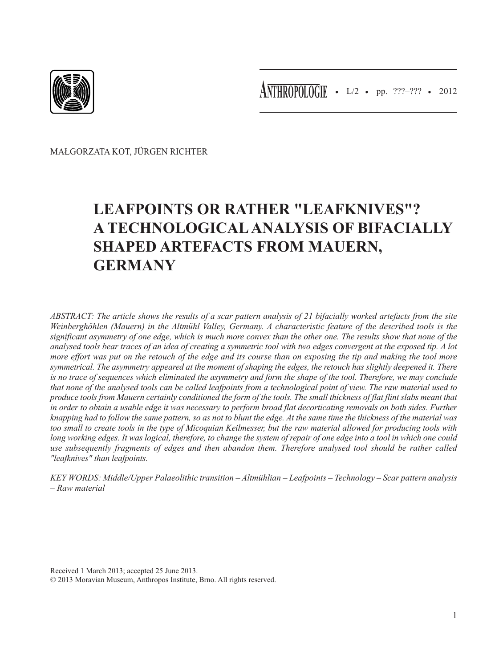

• L/2 • pp. ???–??? • 2012 **ANTHROPOLOGIE**

MAŁGORZATA KOT, JÜRGEN RICHTER

# **LEAFPOINTS OR RATHER "LEAFKNIVES"? A TECHNOLOGICAL ANALYSIS OF BIFACIALLY SHAPED ARTEFACTS FROM MAUERN, GERMANY**

*ABSTRACT: The article shows the results of a scar pattern analysis of 21 bifacially worked artefacts from the site Weinberghöhlen (Mauern) in the Altmühl Valley, Germany. A characteristic feature of the described tools is the significant asymmetry of one edge, which is much more convex than the other one. The results show that none of the analysed tools bear traces of an idea of creating a symmetric tool with two edges convergent at the exposed tip. A lot more effort was put on the retouch of the edge and its course than on exposing the tip and making the tool more symmetrical. The asymmetry appeared at the moment of shaping the edges, the retouch has slightly deepened it. There is no trace of sequences which eliminated the asymmetry and form the shape of the tool. Therefore, we may conclude that none of the analysed tools can be called leafpoints from a technological point of view. The raw material used to produce tools from Mauern certainly conditioned the form of the tools. The small thickness of flat flint slabs meant that in order to obtain a usable edge it was necessary to perform broad flat decorticating removals on both sides. Further knapping had to follow the same pattern, so as not to blunt the edge. At the same time the thickness of the material was too small to create tools in the type of Micoquian Keilmesser, but the raw material allowed for producing tools with long working edges. It was logical, therefore, to change the system of repair of one edge into a tool in which one could use subsequently fragments of edges and then abandon them. Therefore analysed tool should be rather called "leafknives" than leafpoints.*

*KEY WORDS: Middle/Upper Palaeolithic transition – Altmühlian – Leafpoints – Technology – Scar pattern analysis – Raw material*

Received 1 March 2013; accepted 25 June 2013.

<sup>© 2013</sup> Moravian Museum, Anthropos Institute, Brno. All rights reserved.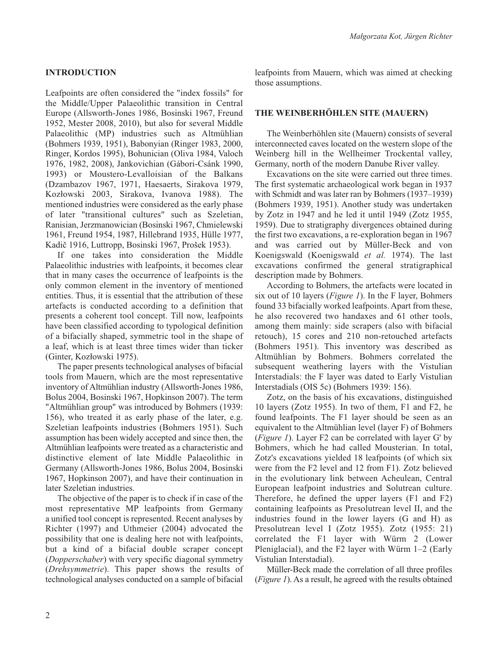# **INTRODUCTION**

Leafpoints are often considered the "index fossils" for the Middle/Upper Palaeolithic transition in Central Europe (Allsworth-Jones 1986, Bosinski 1967, Freund 1952, Mester 2008, 2010), but also for several Middle Palaeolithic (MP) industries such as Altmühlian (Bohmers 1939, 1951), Babonyian (Ringer 1983, 2000, Ringer, Kordos 1995), Bohunician (Oliva 1984, Valoch 1976, 1982, 2008), Jankovichian (Gábori-Csánk 1990, 1993) or Moustero-Levalloisian of the Balkans (Dzambazov 1967, 1971, Haesaerts, Sirakova 1979, Kozłowski 2003, Sirakova, Ivanova 1988). The mentioned industries were considered as the early phase of later "transitional cultures" such as Szeletian, Ranisian, Jerzmanowician (Bosinski 1967, Chmielewski 1961, Freund 1954, 1987, Hillebrand 1935, Hülle 1977, Kadič 1916, Luttropp, Bosinski 1967, Prošek 1953).

If one takes into consideration the Middle Palaeolithic industries with leafpoints, it becomes clear that in many cases the occurrence of leafpoints is the only common element in the inventory of mentioned entities. Thus, it is essential that the attribution of these artefacts is conducted according to a definition that presents a coherent tool concept. Till now, leafpoints have been classified according to typological definition of a bifacially shaped, symmetric tool in the shape of a leaf, which is at least three times wider than ticker (Ginter, Kozłowski 1975).

The paper presents technological analyses of bifacial tools from Mauern, which are the most representative inventory of Altmühlian industry (Allsworth-Jones 1986, Bolus 2004, Bosinski 1967, Hopkinson 2007). The term "Altmühlian group" was introduced by Bohmers (1939: 156), who treated it as early phase of the later, e.g. Szeletian leafpoints industries (Bohmers 1951). Such assumption has been widely accepted and since then, the Altmühlian leafpoints were treated as a characteristic and distinctive element of late Middle Palaeolithic in Germany (Allsworth-Jones 1986, Bolus 2004, Bosinski 1967, Hopkinson 2007), and have their continuation in later Szeletian industries.

The objective of the paper is to check if in case of the most representative MP leafpoints from Germany a unified tool concept is represented. Recent analyses by Richter (1997) and Uthmeier (2004) advocated the possibility that one is dealing here not with leafpoints, but a kind of a bifacial double scraper concept (*Dopperschaber*) with very specific diagonal symmetry (*Drehsymmetrie*). This paper shows the results of technological analyses conducted on a sample of bifacial

leafpoints from Mauern, which was aimed at checking those assumptions.

#### **THE WEINBERHÖHLEN SITE (MAUERN)**

The Weinberhöhlen site (Mauern) consists of several interconnected caves located on the western slope of the Weinberg hill in the Wellheimer Trockental valley, Germany, north of the modern Danube River valley.

Excavations on the site were carried out three times. The first systematic archaeological work began in 1937 with Schmidt and was later ran by Bohmers (1937–1939) (Bohmers 1939, 1951). Another study was undertaken by Zotz in 1947 and he led it until 1949 (Zotz 1955, 1959). Due to stratigraphy divergences obtained during the first two excavations, a re-exploration began in 1967 and was carried out by Müller-Beck and von Koenigswald (Koenigswald *et al.* 1974). The last excavations confirmed the general stratigraphical description made by Bohmers.

According to Bohmers, the artefacts were located in six out of 10 layers (*Figure 1*). In the F layer, Bohmers found 33 bifacially worked leafpoints. Apart from these, he also recovered two handaxes and 61 other tools, among them mainly: side scrapers (also with bifacial retouch), 15 cores and 210 non-retouched artefacts (Bohmers 1951). This inventory was described as Altmühlian by Bohmers. Bohmers correlated the subsequent weathering layers with the Vistulian Interstadials: the F layer was dated to Early Vistulian Interstadials (OIS 5c) (Bohmers 1939: 156).

Zotz, on the basis of his excavations, distinguished 10 layers (Zotz 1955). In two of them, F1 and F2, he found leafpoints. The F1 layer should be seen as an equivalent to the Altmühlian level (layer F) of Bohmers (*Figure 1*). Layer F2 can be correlated with layer G' by Bohmers, which he had called Mousterian. In total, Zotz's excavations yielded 18 leafpoints (of which six were from the F2 level and 12 from F1). Zotz believed in the evolutionary link between Acheulean, Central European leafpoint industries and Solutrean culture. Therefore, he defined the upper layers (F1 and F2) containing leafpoints as Presolutrean level II, and the industries found in the lower layers (G and H) as Presolutrean level I (Zotz 1955). Zotz (1955: 21) correlated the F1 layer with Würm 2 (Lower Pleniglacial), and the F2 layer with Würm 1–2 (Early Vistulian Interstadial).

Müller-Beck made the correlation of all three profiles (*Figure 1*). As a result, he agreed with the results obtained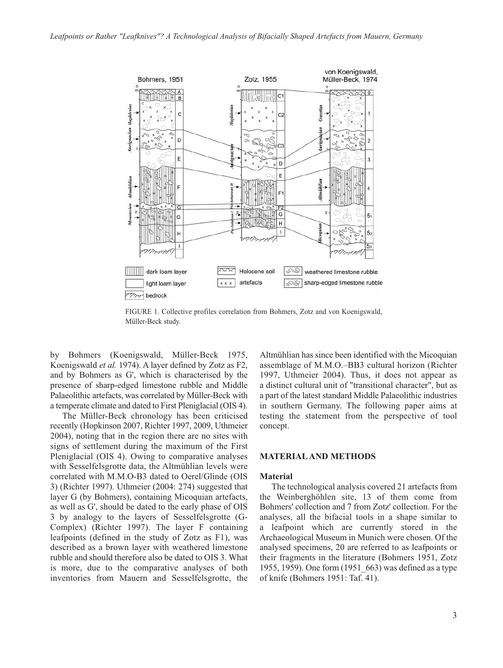

FIGURE 1. Collective profiles correlation from Bohmers, Zotz and von Koenigswald, Müller-Beck study.

by Bohmers (Koenigswald, Müller-Beck 1975, Koenigswald *et al.* 1974). A layer defined by Zotz as F2, and by Bohmers as G', which is characterised by the presence of sharp-edged limestone rubble and Middle Palaeolithic artefacts, was correlated by Müller-Beck with a temperate climate and dated to First Pleniglacial (OIS 4).

The Müller-Beck chronology has been criticised recently (Hopkinson 2007, Richter 1997, 2009, Uthmeier 2004), noting that in the region there are no sites with signs of settlement during the maximum of the First Pleniglacial (OIS 4). Owing to comparative analyses with Sesselfelsgrotte data, the Altmühlian levels were correlated with M.M.O-B3 dated to Oerel/Glinde (OIS 3) (Richter 1997). Uthmeier (2004: 274) suggested that layer G (by Bohmers), containing Micoquian artefacts, as well as G', should be dated to the early phase of OIS 3 by analogy to the layers of Sesselfelsgrotte (G-Complex) (Richter 1997). The layer F containing leafpoints (defined in the study of Zotz as F1), was described as a brown layer with weathered limestone rubble and should therefore also be dated to OIS 3. What is more, due to the comparative analyses of both inventories from Mauern and Sesselfelsgrotte, the

Altmühlian has since been identified with the Micoquian assemblage of M.M.O.–BB3 cultural horizon (Richter 1997, Uthmeier 2004). Thus, it does not appear as a distinct cultural unit of "transitional character", but as a part of the latest standard Middle Palaeolithic industries in southern Germany. The following paper aims at testing the statement from the perspective of tool concept.

# **MATERIAL AND METHODS**

#### **Material**

The technological analysis covered 21 artefacts from the Weinberghöhlen site, 13 of them come from Bohmers' collection and 7 from Zotz' collection. For the analyses, all the bifacial tools in a shape similar to a leafpoint which are currently stored in the Archaeological Museum in Munich were chosen. Of the analysed specimens, 20 are referred to as leafpoints or their fragments in the literature (Bohmers 1951, Zotz 1955, 1959). One form (1951\_663) was defined as a type of knife (Bohmers 1951: Taf. 41).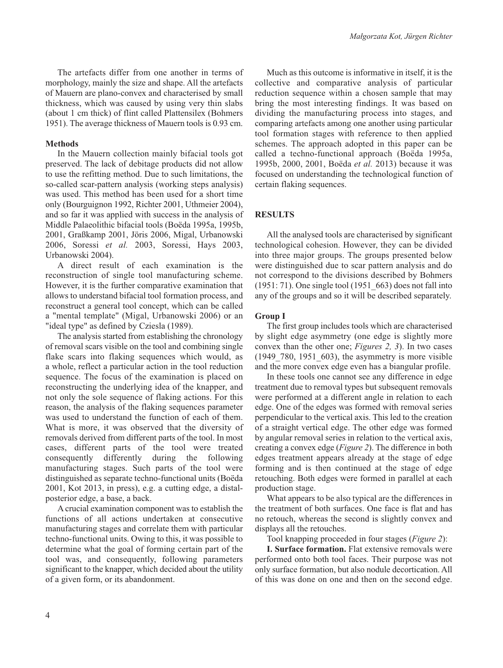The artefacts differ from one another in terms of morphology, mainly the size and shape. All the artefacts of Mauern are plano-convex and characterised by small thickness, which was caused by using very thin slabs (about 1 cm thick) of flint called Plattensilex (Bohmers 1951). The average thickness of Mauern tools is 0.93 cm.

# **Methods**

In the Mauern collection mainly bifacial tools got preserved. The lack of debitage products did not allow to use the refitting method. Due to such limitations, the so-called scar-pattern analysis (working steps analysis) was used. This method has been used for a short time only (Bourguignon 1992, Richter 2001, Uthmeier 2004), and so far it was applied with success in the analysis of Middle Palaeolithic bifacial tools (Boëda 1995a, 1995b, 2001, Graßkamp 2001, Jöris 2006, Migal, Urbanowski 2006, Soressi *et al.* 2003, Soressi, Hays 2003, Urbanowski 2004).

A direct result of each examination is the reconstruction of single tool manufacturing scheme. However, it is the further comparative examination that allows to understand bifacial tool formation process, and reconstruct a general tool concept, which can be called a "mental template" (Migal, Urbanowski 2006) or an "ideal type" as defined by Cziesla (1989).

The analysis started from establishing the chronology of removal scars visible on the tool and combining single flake scars into flaking sequences which would, as a whole, reflect a particular action in the tool reduction sequence. The focus of the examination is placed on reconstructing the underlying idea of the knapper, and not only the sole sequence of flaking actions. For this reason, the analysis of the flaking sequences parameter was used to understand the function of each of them. What is more, it was observed that the diversity of removals derived from different parts of the tool. In most cases, different parts of the tool were treated consequently differently during the following manufacturing stages. Such parts of the tool were distinguished as separate techno-functional units (Boëda 2001, Kot 2013, in press), e.g. a cutting edge, a distalposterior edge, a base, a back.

A crucial examination component was to establish the functions of all actions undertaken at consecutive manufacturing stages and correlate them with particular techno-functional units. Owing to this, it was possible to determine what the goal of forming certain part of the tool was, and consequently, following parameters significant to the knapper, which decided about the utility of a given form, or its abandonment.

Much as this outcome is informative in itself, it is the collective and comparative analysis of particular reduction sequence within a chosen sample that may bring the most interesting findings. It was based on dividing the manufacturing process into stages, and comparing artefacts among one another using particular tool formation stages with reference to then applied schemes. The approach adopted in this paper can be called a techno-functional approach (Boëda 1995a, 1995b, 2000, 2001, Boëda *et al.* 2013) because it was focused on understanding the technological function of certain flaking sequences.

# **RESULTS**

All the analysed tools are characterised by significant technological cohesion. However, they can be divided into three major groups. The groups presented below were distinguished due to scar pattern analysis and do not correspond to the divisions described by Bohmers (1951: 71). One single tool (1951\_663) does not fall into any of the groups and so it will be described separately.

#### **Group I**

The first group includes tools which are characterised by slight edge asymmetry (one edge is slightly more convex than the other one; *Figures 2, 3*). In two cases (1949\_780, 1951\_603), the asymmetry is more visible and the more convex edge even has a biangular profile.

In these tools one cannot see any difference in edge treatment due to removal types but subsequent removals were performed at a different angle in relation to each edge. One of the edges was formed with removal series perpendicular to the vertical axis. This led to the creation of a straight vertical edge. The other edge was formed by angular removal series in relation to the vertical axis, creating a convex edge (*Figure 2*). The difference in both edges treatment appears already at the stage of edge forming and is then continued at the stage of edge retouching. Both edges were formed in parallel at each production stage.

What appears to be also typical are the differences in the treatment of both surfaces. One face is flat and has no retouch, whereas the second is slightly convex and displays all the retouches.

Tool knapping proceeded in four stages (*Figure 2*):

**I. Surface formation.** Flat extensive removals were performed onto both tool faces. Their purpose was not only surface formation, but also nodule decortication. All of this was done on one and then on the second edge.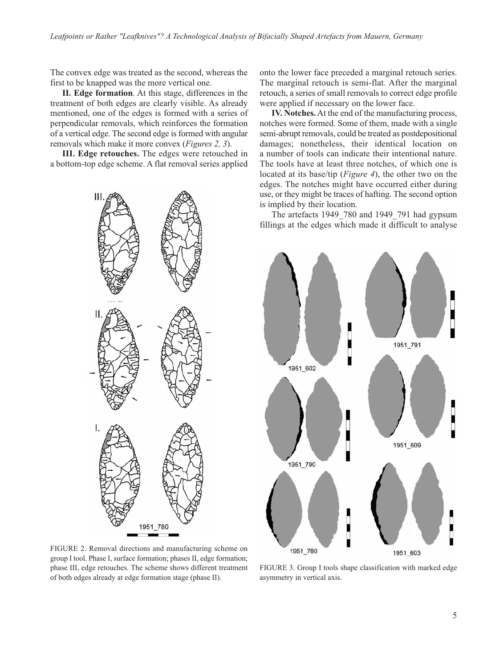The convex edge was treated as the second, whereas the first to be knapped was the more vertical one.

**II. Edge formation**. At this stage, differences in the treatment of both edges are clearly visible. As already mentioned, one of the edges is formed with a series of perpendicular removals, which reinforces the formation of a vertical edge. The second edge is formed with angular removals which make it more convex (*Figures 2, 3*).

**III. Edge retouches.** The edges were retouched in a bottom-top edge scheme. A flat removal series applied onto the lower face preceded a marginal retouch series. The marginal retouch is semi-flat. After the marginal retouch, a series of small removals to correct edge profile were applied if necessary on the lower face.

**IV. Notches.** At the end of the manufacturing process, notches were formed. Some of them, made with a single semi-abrupt removals, could be treated as postdepositional damages; nonetheless, their identical location on a number of tools can indicate their intentional nature. The tools have at least three notches, of which one is located at its base/tip (*Figure 4*), the other two on the edges. The notches might have occurred either during use, or they might be traces of hafting. The second option is implied by their location.

The artefacts 1949\_780 and 1949\_791 had gypsum fillings at the edges which made it difficult to analyse



FIGURE 2. Removal directions and manufacturing scheme on group I tool. Phase I, surface formation; phases II, edge formation; phase III, edge retouches. The scheme shows different treatment of both edges already at edge formation stage (phase II).



FIGURE 3. Group I tools shape classification with marked edge asymmetry in vertical axis.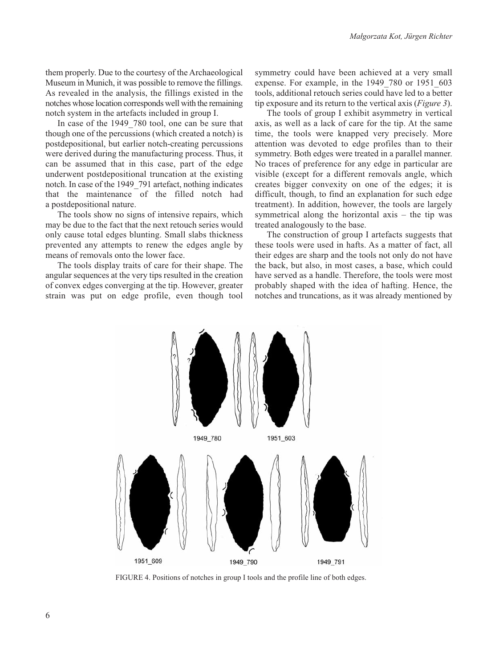them properly. Due to the courtesy of the Archaeological Museum in Munich, it was possible to remove the fillings. As revealed in the analysis, the fillings existed in the notches whose location corresponds well with the remaining notch system in the artefacts included in group I.

In case of the 1949 780 tool, one can be sure that though one of the percussions (which created a notch) is postdepositional, but earlier notch-creating percussions were derived during the manufacturing process. Thus, it can be assumed that in this case, part of the edge underwent postdepositional truncation at the existing notch. In case of the 1949\_791 artefact, nothing indicates that the maintenance of the filled notch had a postdepositional nature.

The tools show no signs of intensive repairs, which may be due to the fact that the next retouch series would only cause total edges blunting. Small slabs thickness prevented any attempts to renew the edges angle by means of removals onto the lower face.

The tools display traits of care for their shape. The angular sequences at the very tips resulted in the creation of convex edges converging at the tip. However, greater strain was put on edge profile, even though tool symmetry could have been achieved at a very small expense. For example, in the 1949\_780 or 1951\_603 tools, additional retouch series could have led to a better tip exposure and its return to the vertical axis (*Figure 3*).

The tools of group I exhibit asymmetry in vertical axis, as well as a lack of care for the tip. At the same time, the tools were knapped very precisely. More attention was devoted to edge profiles than to their symmetry. Both edges were treated in a parallel manner. No traces of preference for any edge in particular are visible (except for a different removals angle, which creates bigger convexity on one of the edges; it is difficult, though, to find an explanation for such edge treatment). In addition, however, the tools are largely symmetrical along the horizontal axis – the tip was treated analogously to the base.

The construction of group I artefacts suggests that these tools were used in hafts. As a matter of fact, all their edges are sharp and the tools not only do not have the back, but also, in most cases, a base, which could have served as a handle. Therefore, the tools were most probably shaped with the idea of hafting. Hence, the notches and truncations, as it was already mentioned by



FIGURE 4. Positions of notches in group I tools and the profile line of both edges.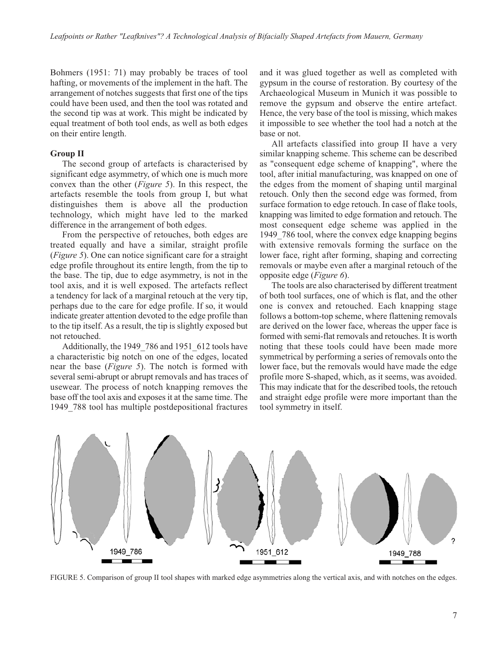Bohmers (1951: 71) may probably be traces of tool hafting, or movements of the implement in the haft. The arrangement of notches suggests that first one of the tips could have been used, and then the tool was rotated and the second tip was at work. This might be indicated by equal treatment of both tool ends, as well as both edges on their entire length.

# **Group II**

The second group of artefacts is characterised by significant edge asymmetry, of which one is much more convex than the other (*Figure 5*). In this respect, the artefacts resemble the tools from group I, but what distinguishes them is above all the production technology, which might have led to the marked difference in the arrangement of both edges.

From the perspective of retouches, both edges are treated equally and have a similar, straight profile (*Figure 5*). One can notice significant care for a straight edge profile throughout its entire length, from the tip to the base. The tip, due to edge asymmetry, is not in the tool axis, and it is well exposed. The artefacts reflect a tendency for lack of a marginal retouch at the very tip, perhaps due to the care for edge profile. If so, it would indicate greater attention devoted to the edge profile than to the tip itself. As a result, the tip is slightly exposed but not retouched.

Additionally, the 1949 786 and 1951 612 tools have a characteristic big notch on one of the edges, located near the base (*Figure 5*). The notch is formed with several semi-abrupt or abrupt removals and has traces of usewear. The process of notch knapping removes the base off the tool axis and exposes it at the same time. The 1949\_788 tool has multiple postdepositional fractures and it was glued together as well as completed with gypsum in the course of restoration. By courtesy of the Archaeological Museum in Munich it was possible to remove the gypsum and observe the entire artefact. Hence, the very base of the tool is missing, which makes it impossible to see whether the tool had a notch at the base or not.

All artefacts classified into group II have a very similar knapping scheme. This scheme can be described as "consequent edge scheme of knapping", where the tool, after initial manufacturing, was knapped on one of the edges from the moment of shaping until marginal retouch. Only then the second edge was formed, from surface formation to edge retouch. In case of flake tools, knapping was limited to edge formation and retouch. The most consequent edge scheme was applied in the 1949 786 tool, where the convex edge knapping begins with extensive removals forming the surface on the lower face, right after forming, shaping and correcting removals or maybe even after a marginal retouch of the opposite edge (*Figure 6*).

The tools are also characterised by different treatment of both tool surfaces, one of which is flat, and the other one is convex and retouched. Each knapping stage follows a bottom-top scheme, where flattening removals are derived on the lower face, whereas the upper face is formed with semi-flat removals and retouches. It is worth noting that these tools could have been made more symmetrical by performing a series of removals onto the lower face, but the removals would have made the edge profile more S-shaped, which, as it seems, was avoided. This may indicate that for the described tools, the retouch and straight edge profile were more important than the tool symmetry in itself.



FIGURE 5. Comparison of group II tool shapes with marked edge asymmetries along the vertical axis, and with notches on the edges.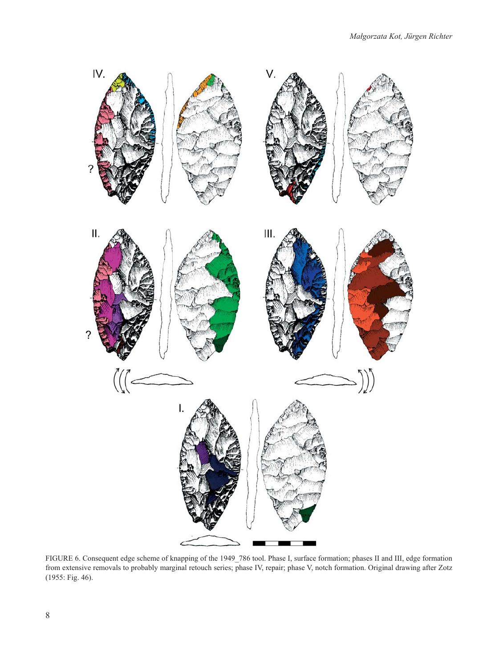

FIGURE 6. Consequent edge scheme of knapping of the 1949\_786 tool. Phase I, surface formation; phases II and III, edge formation from extensive removals to probably marginal retouch series; phase IV, repair; phase V, notch formation. Original drawing after Zotz (1955: Fig. 46).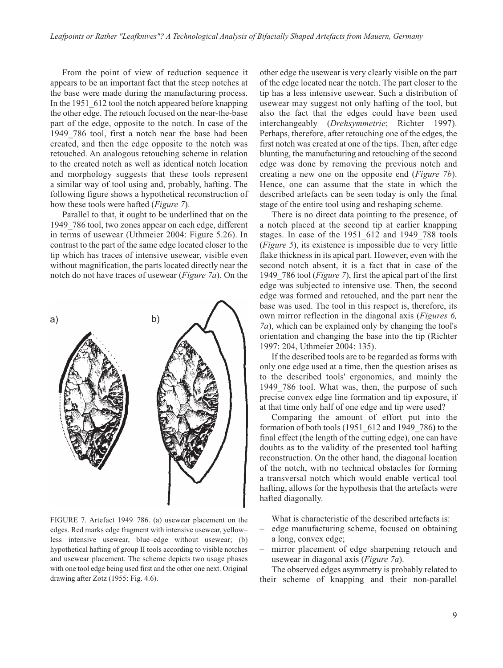From the point of view of reduction sequence it appears to be an important fact that the steep notches at the base were made during the manufacturing process. In the 1951\_612 tool the notch appeared before knapping the other edge. The retouch focused on the near-the-base part of the edge, opposite to the notch. In case of the 1949\_786 tool, first a notch near the base had been created, and then the edge opposite to the notch was retouched. An analogous retouching scheme in relation to the created notch as well as identical notch location and morphology suggests that these tools represent a similar way of tool using and, probably, hafting. The following figure shows a hypothetical reconstruction of how these tools were hafted (*Figure 7*).

Parallel to that, it ought to be underlined that on the 1949\_786 tool, two zones appear on each edge, different in terms of usewear (Uthmeier 2004: Figure 5.26). In contrast to the part of the same edge located closer to the tip which has traces of intensive usewear, visible even without magnification, the parts located directly near the notch do not have traces of usewear (*Figure 7a*). On the



FIGURE 7. Artefact 1949\_786. (a) usewear placement on the edges. Red marks edge fragment with intensive usewear, yellow– less intensive usewear, blue–edge without usewear; (b) hypothetical hafting of group II tools according to visible notches and usewear placement. The scheme depicts two usage phases with one tool edge being used first and the other one next. Original drawing after Zotz (1955: Fig. 4.6).

other edge the usewear is very clearly visible on the part of the edge located near the notch. The part closer to the tip has a less intensive usewear. Such a distribution of usewear may suggest not only hafting of the tool, but also the fact that the edges could have been used interchangeably (*Drehsymmetrie*; Richter 1997). Perhaps, therefore, after retouching one of the edges, the first notch was created at one of the tips. Then, after edge blunting, the manufacturing and retouching of the second edge was done by removing the previous notch and creating a new one on the opposite end (*Figure 7b*). Hence, one can assume that the state in which the described artefacts can be seen today is only the final stage of the entire tool using and reshaping scheme.

There is no direct data pointing to the presence, of a notch placed at the second tip at earlier knapping stages. In case of the 1951\_612 and 1949\_788 tools (*Figure 5*), its existence is impossible due to very little flake thickness in its apical part. However, even with the second notch absent, it is a fact that in case of the 1949\_786 tool (*Figure 7*), first the apical part of the first edge was subjected to intensive use. Then, the second edge was formed and retouched, and the part near the base was used. The tool in this respect is, therefore, its own mirror reflection in the diagonal axis (*Figures 6, 7a*), which can be explained only by changing the tool's orientation and changing the base into the tip (Richter 1997: 204, Uthmeier 2004: 135).

If the described tools are to be regarded as forms with only one edge used at a time, then the question arises as to the described tools' ergonomics, and mainly the 1949 786 tool. What was, then, the purpose of such precise convex edge line formation and tip exposure, if at that time only half of one edge and tip were used?

Comparing the amount of effort put into the formation of both tools (1951\_612 and 1949\_786**)** to the final effect (the length of the cutting edge), one can have doubts as to the validity of the presented tool hafting reconstruction. On the other hand, the diagonal location of the notch, with no technical obstacles for forming a transversal notch which would enable vertical tool hafting, allows for the hypothesis that the artefacts were hafted diagonally.

What is characteristic of the described artefacts is:

- edge manufacturing scheme, focused on obtaining a long, convex edge;
- mirror placement of edge sharpening retouch and usewear in diagonal axis (*Figure 7a*).

The observed edges asymmetry is probably related to their scheme of knapping and their non-parallel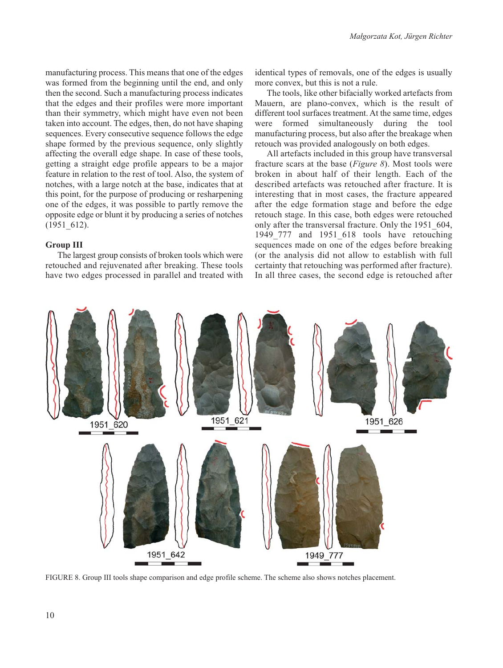manufacturing process. This means that one of the edges was formed from the beginning until the end, and only then the second. Such a manufacturing process indicates that the edges and their profiles were more important than their symmetry, which might have even not been taken into account. The edges, then, do not have shaping sequences. Every consecutive sequence follows the edge shape formed by the previous sequence, only slightly affecting the overall edge shape. In case of these tools, getting a straight edge profile appears to be a major feature in relation to the rest of tool. Also, the system of notches, with a large notch at the base, indicates that at this point, for the purpose of producing or resharpening one of the edges, it was possible to partly remove the opposite edge or blunt it by producing a series of notches (1951\_612).

# **Group III**

The largest group consists of broken tools which were retouched and rejuvenated after breaking. These tools have two edges processed in parallel and treated with identical types of removals, one of the edges is usually more convex, but this is not a rule.

The tools, like other bifacially worked artefacts from Mauern, are plano-convex, which is the result of different tool surfaces treatment. At the same time, edges were formed simultaneously during the tool manufacturing process, but also after the breakage when retouch was provided analogously on both edges.

All artefacts included in this group have transversal fracture scars at the base (*Figure 8*). Most tools were broken in about half of their length. Each of the described artefacts was retouched after fracture. It is interesting that in most cases, the fracture appeared after the edge formation stage and before the edge retouch stage. In this case, both edges were retouched only after the transversal fracture. Only the 1951\_604, 1949 777 and 1951 618 tools have retouching sequences made on one of the edges before breaking (or the analysis did not allow to establish with full certainty that retouching was performed after fracture). In all three cases, the second edge is retouched after



FIGURE 8. Group III tools shape comparison and edge profile scheme. The scheme also shows notches placement.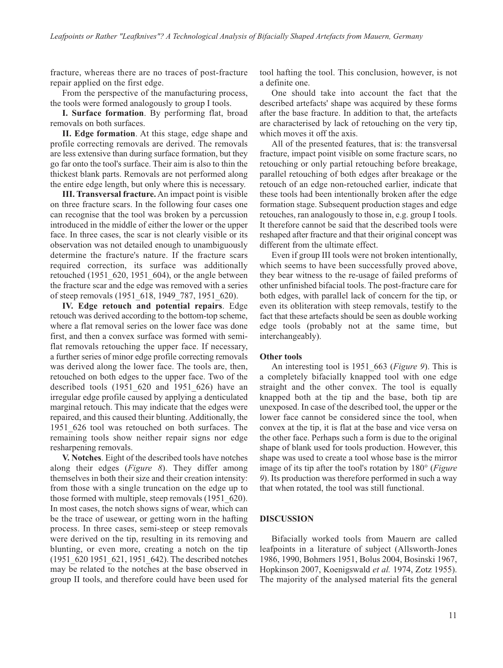fracture, whereas there are no traces of post-fracture repair applied on the first edge.

From the perspective of the manufacturing process, the tools were formed analogously to group I tools.

**I. Surface formation**. By performing flat, broad removals on both surfaces.

**II. Edge formation**. At this stage, edge shape and profile correcting removals are derived. The removals are less extensive than during surface formation, but they go far onto the tool's surface. Their aim is also to thin the thickest blank parts. Removals are not performed along the entire edge length, but only where this is necessary.

**III. Transversal fracture.** An impact point is visible on three fracture scars. In the following four cases one can recognise that the tool was broken by a percussion introduced in the middle of either the lower or the upper face. In three cases, the scar is not clearly visible or its observation was not detailed enough to unambiguously determine the fracture's nature. If the fracture scars required correction, its surface was additionally retouched (1951\_620, 1951\_604), or the angle between the fracture scar and the edge was removed with a series of steep removals (1951\_618, 1949\_787, 1951\_620).

**IV. Edge retouch and potential repairs**. Edge retouch was derived according to the bottom-top scheme, where a flat removal series on the lower face was done first, and then a convex surface was formed with semiflat removals retouching the upper face. If necessary, a further series of minor edge profile correcting removals was derived along the lower face. The tools are, then, retouched on both edges to the upper face. Two of the described tools (1951\_620 and 1951\_626) have an irregular edge profile caused by applying a denticulated marginal retouch. This may indicate that the edges were repaired, and this caused their blunting. Additionally, the 1951\_626 tool was retouched on both surfaces. The remaining tools show neither repair signs nor edge resharpening removals.

**V. Notches**. Eight of the described tools have notches along their edges (*Figure 8*). They differ among themselves in both their size and their creation intensity: from those with a single truncation on the edge up to those formed with multiple, steep removals (1951\_620). In most cases, the notch shows signs of wear, which can be the trace of usewear, or getting worn in the hafting process. In three cases, semi-steep or steep removals were derived on the tip, resulting in its removing and blunting, or even more, creating a notch on the tip (1951\_620 1951\_621, 1951\_642). The described notches may be related to the notches at the base observed in group II tools, and therefore could have been used for tool hafting the tool. This conclusion, however, is not a definite one.

One should take into account the fact that the described artefacts' shape was acquired by these forms after the base fracture. In addition to that, the artefacts are characterised by lack of retouching on the very tip, which moves it off the axis.

All of the presented features, that is: the transversal fracture, impact point visible on some fracture scars, no retouching or only partial retouching before breakage, parallel retouching of both edges after breakage or the retouch of an edge non-retouched earlier, indicate that these tools had been intentionally broken after the edge formation stage. Subsequent production stages and edge retouches, ran analogously to those in, e.g. group I tools. It therefore cannot be said that the described tools were reshaped after fracture and that their original concept was different from the ultimate effect.

Even if group III tools were not broken intentionally, which seems to have been successfully proved above, they bear witness to the re-usage of failed preforms of other unfinished bifacial tools. The post-fracture care for both edges, with parallel lack of concern for the tip, or even its obliteration with steep removals, testify to the fact that these artefacts should be seen as double working edge tools (probably not at the same time, but interchangeably).

#### **Other tools**

An interesting tool is 1951\_663 (*Figure 9*). This is a completely bifacially knapped tool with one edge straight and the other convex. The tool is equally knapped both at the tip and the base, both tip are unexposed. In case of the described tool, the upper or the lower face cannot be considered since the tool, when convex at the tip, it is flat at the base and vice versa on the other face. Perhaps such a form is due to the original shape of blank used for tools production. However, this shape was used to create a tool whose base is the mirror image of its tip after the tool's rotation by 180° (*Figure 9*). Its production was therefore performed in such a way that when rotated, the tool was still functional.

#### **DISCUSSION**

Bifacially worked tools from Mauern are called leafpoints in a literature of subject (Allsworth-Jones 1986, 1990, Bohmers 1951, Bolus 2004, Bosinski 1967, Hopkinson 2007, Koenigswald *et al.* 1974, Zotz 1955). The majority of the analysed material fits the general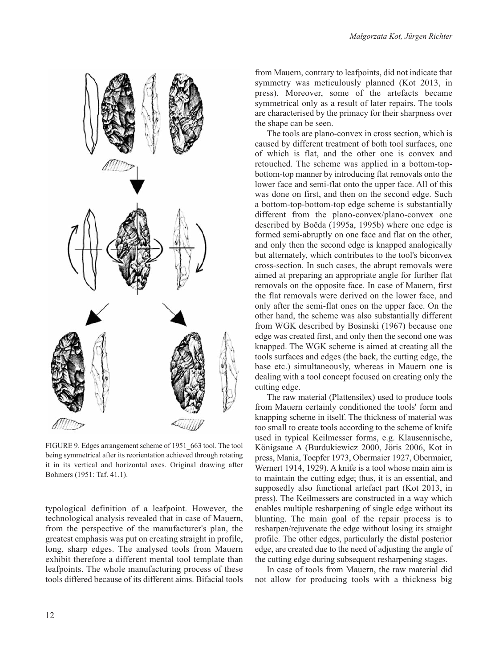

FIGURE 9. Edges arrangement scheme of 1951\_663 tool. The tool being symmetrical after its reorientation achieved through rotating it in its vertical and horizontal axes. Original drawing after Bohmers (1951: Taf. 41.1).

typological definition of a leafpoint. However, the technological analysis revealed that in case of Mauern, from the perspective of the manufacturer's plan, the greatest emphasis was put on creating straight in profile, long, sharp edges. The analysed tools from Mauern exhibit therefore a different mental tool template than leafpoints. The whole manufacturing process of these tools differed because of its different aims. Bifacial tools from Mauern, contrary to leafpoints, did not indicate that symmetry was meticulously planned (Kot 2013, in press). Moreover, some of the artefacts became symmetrical only as a result of later repairs. The tools are characterised by the primacy for their sharpness over the shape can be seen.

The tools are plano-convex in cross section, which is caused by different treatment of both tool surfaces, one of which is flat, and the other one is convex and retouched. The scheme was applied in a bottom-topbottom-top manner by introducing flat removals onto the lower face and semi-flat onto the upper face. All of this was done on first, and then on the second edge. Such a bottom-top-bottom-top edge scheme is substantially different from the plano-convex/plano-convex one described by Boëda (1995a, 1995b) where one edge is formed semi-abruptly on one face and flat on the other, and only then the second edge is knapped analogically but alternately, which contributes to the tool's biconvex cross-section. In such cases, the abrupt removals were aimed at preparing an appropriate angle for further flat removals on the opposite face. In case of Mauern, first the flat removals were derived on the lower face, and only after the semi-flat ones on the upper face. On the other hand, the scheme was also substantially different from WGK described by Bosinski (1967) because one edge was created first, and only then the second one was knapped. The WGK scheme is aimed at creating all the tools surfaces and edges (the back, the cutting edge, the base etc.) simultaneously, whereas in Mauern one is dealing with a tool concept focused on creating only the cutting edge.

The raw material (Plattensilex) used to produce tools from Mauern certainly conditioned the tools' form and knapping scheme in itself. The thickness of material was too small to create tools according to the scheme of knife used in typical Keilmesser forms, e.g. Klausennische, Königsaue A (Burdukiewicz 2000, Jöris 2006, Kot in press, Mania, Toepfer 1973, Obermaier 1927, Obermaier, Wernert 1914, 1929). A knife is a tool whose main aim is to maintain the cutting edge; thus, it is an essential, and supposedly also functional artefact part (Kot 2013, in press). The Keilmessers are constructed in a way which enables multiple resharpening of single edge without its blunting. The main goal of the repair process is to resharpen/rejuvenate the edge without losing its straight profile. The other edges, particularly the distal posterior edge, are created due to the need of adjusting the angle of the cutting edge during subsequent resharpening stages.

In case of tools from Mauern, the raw material did not allow for producing tools with a thickness big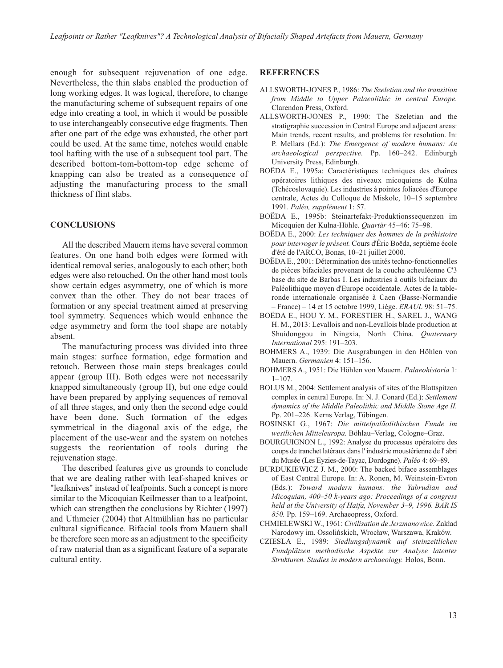enough for subsequent rejuvenation of one edge. Nevertheless, the thin slabs enabled the production of long working edges. It was logical, therefore, to change the manufacturing scheme of subsequent repairs of one edge into creating a tool, in which it would be possible to use interchangeably consecutive edge fragments. Then after one part of the edge was exhausted, the other part could be used. At the same time, notches would enable tool hafting with the use of a subsequent tool part. The described bottom-tom-bottom-top edge scheme of knapping can also be treated as a consequence of adjusting the manufacturing process to the small thickness of flint slabs.

#### **CONCLUSIONS**

All the described Mauern items have several common features. On one hand both edges were formed with identical removal series, analogously to each other; both edges were also retouched. On the other hand most tools show certain edges asymmetry, one of which is more convex than the other. They do not bear traces of formation or any special treatment aimed at preserving tool symmetry. Sequences which would enhance the edge asymmetry and form the tool shape are notably absent.

The manufacturing process was divided into three main stages: surface formation, edge formation and retouch. Between those main steps breakages could appear (group III). Both edges were not necessarily knapped simultaneously (group II), but one edge could have been prepared by applying sequences of removal of all three stages, and only then the second edge could have been done. Such formation of the edges symmetrical in the diagonal axis of the edge, the placement of the use-wear and the system on notches suggests the reorientation of tools during the rejuvenation stage.

The described features give us grounds to conclude that we are dealing rather with leaf-shaped knives or "leafknives" instead of leafpoints. Such a concept is more similar to the Micoquian Keilmesser than to a leafpoint, which can strengthen the conclusions by Richter (1997) and Uthmeier (2004) that Altmühlian has no particular cultural significance. Bifacial tools from Mauern shall be therefore seen more as an adjustment to the specificity of raw material than as a significant feature of a separate cultural entity.

# **REFERENCES**

- ALLSWORTH-JONES P., 1986: *The Szeletian and the transition from Middle to Upper Palaeolithic in central Europe.* Clarendon Press, Oxford.
- ALLSWORTH-JONES P., 1990: The Szeletian and the stratigraphie succession in Central Europe and adjacent areas: Main trends, recent results, and problems for resolution. In: P. Mellars (Ed.): *The Emergence of modern humans: An archaeological perspective.* Pp. 160–242. Edinburgh University Press, Edinburgh.
- BOËDA E., 1995a: Caractéristiques techniques des chaînes opératoires lithiques des niveaux micoquiens de Külna (Tchécoslovaquie). Les industries à pointes foliacées d'Europe centrale, Actes du Colloque de Miskolc, 10–15 septembre 1991. *Paléo, supplément* 1: 57.
- BOËDA E., 1995b: Steinartefakt-Produktionssequenzen im Micoquien der Kulna-Höhle. *Quartär* 45–46: 75–98.
- BOËDA E., 2000: *Les techniques des hommes de la préhistoire pour interroger le présent.* Cours d'Éric Boëda, septième école d'été de l'ARCO, Bonas, 10–21 juillet 2000.
- BOËDA E., 2001: Détermination des unités techno-fonctionnelles de pièces bifaciales provenant de la couche acheuléenne C'3 base du site de Barbas I. Les industries à outils bifaciaux du Paléolithique moyen d'Europe occidentale. Actes de la tableronde internationale organisée à Caen (Basse-Normandie – France) – 14 et 15 octobre 1999, Liège. *ERAUL* 98: 51–75.
- BOËDA E., HOU Y. M., FORESTIER H., SAREL J., WANG H. M., 2013: Levallois and non-Levallois blade production at Shuidonggou in Ningxia, North China. *Quaternary International* 295: 191–203.
- BOHMERS A., 1939: Die Ausgrabungen in den Höhlen von Mauern. *Germanien* 4: 151–156.
- BOHMERS A., 1951: Die Höhlen von Mauern. *Palaeohistoria* 1: 1–107.
- BOLUS M., 2004: Settlement analysis of sites of the Blattspitzen complex in central Europe. In: N. J. Conard (Ed.): *Settlement dynamics of the Middle Paleolithic and Middle Stone Age II.* Pp. 201–226. Kerns Verlag, Tübingen.
- BOSINSKI G., 1967: *Die mittelpaläolithischen Funde im westlichen Mitteleuropa.* Böhlau–Verlag, Cologne–Graz.
- BOURGUIGNON L., 1992: Analyse du processus opératoire des coups de tranchet latéraux dans l' industrie moustérienne de l' abri du Musée (Les Eyzies-de-Tayac, Dordogne). *Paléo* 4: 69–89.
- BURDUKIEWICZ J. M., 2000: The backed biface assemblages of East Central Europe. In: A. Ronen, M. Weinstein-Evron (Eds.): *Toward modern humans: the Yabrudian and Micoquian, 400–50 k-years ago: Proceedings of a congress held at the University of Haifa, November 3–9, 1996. BAR IS 850.* Pp. 159–169. Archaeopress, Oxford.
- CHMIELEWSKI W., 1961: *Civilisation de Jerzmanowice.* Zakład Narodowy im. Ossolińskich, Wrocław, Warszawa, Kraków.
- CZIESLA E., 1989: *Siedlungsdynamik auf steinzeitlichen Fundplätzen methodische Aspekte zur Analyse latenter Strukturen. Studies in modern archaeology.* Holos, Bonn.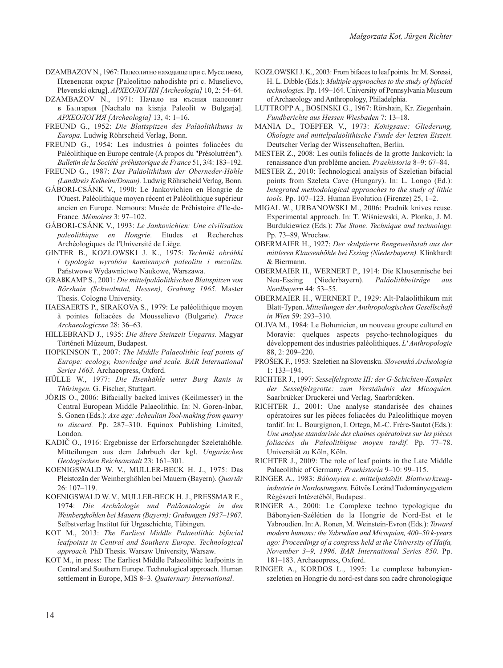- DZAMBAZOV N., 1967: Палеолитно находище при с. Муселиево, Плевенски окръг [Paleolitno nahodishte pri c. Muselievo, Plevenski okrug]. *АРХЕОЛОГИЯ [Archeologia]* 10, 2: 54–64.
- DZAMBAZOV N., 1971: Начало на късния палеолит в България [Nachalo na kisnja Paleolit w Bulgarja]. *АРХЕОЛОГИЯ [Archeologia]* 13, 4: 1–16.
- FREUND G., 1952: *Die Blattspitzen des Paläolithikums in Europa.* Ludwig Röhrscheid Verlag, Bonn.
- FREUND G., 1954: Les industries à pointes foliacées du Paléolithique en Europe centrale (A propos du "Présolutréen"). *Bulletin de la Société préhistorique de France* 51, 3/4: 183–192.
- FREUND G., 1987: *Das Paläolithikum der Oberneder-Höhle (Landkreis Kelheim/Donau).* Ludwig Röhrscheid Verlag, Bonn.
- GÁBORI-CSÁNK V., 1990: Le Jankovichien en Hongrie de l'Ouest. Paléolithique moyen récent et Paléolithique supérieur ancien en Europe. Nemours: Musée de Préhistoire d'Ile-de-France. *Mémoires* 3: 97–102.
- GÁBORI-CSÁNK V., 1993: *Le Jankovichien: Une civilisation paleolithique en Hongrie.* Etudes et Recherches Archéologiques de l'Université de Liège.
- GINTER B., KOZŁOWSKI J. K., 1975: *Techniki obróbki i typologia wyrobów kamiennych paleolitu i mezolitu.* Państwowe Wydawnictwo Naukowe, Warszawa.
- GRAßKAMP S., 2001: *Die mittelpaläolithischen Blattspitzen von Rörshain (Schwalmtal, Hessen), Grabung 1965.* Master Thesis. Cologne University.
- HAESAERTS P., SIRAKOVA S., 1979: Le paléolithique moyen à pointes foliacées de Mousselievo (Bulgarie). *Prace Archaeologiczne* 28: 36–63.
- HILLEBRAND J., 1935: *Die ältere Steinzeit Ungarns.* Magyar Történeti Múzeum, Budapest.
- HOPKINSON T., 2007: *The Middle Palaeolithic leaf points of Europe: ecology, knowledge and scale. BAR International Series 1663.* Archaeopress, Oxford.
- HÜLLE W., 1977: *Die Ilsenhähle unter Burg Ranis in Thüringen.* G. Fischer, Stuttgart.
- JÖRIS O., 2006: Bifacially backed knives (Keilmesser) in the Central European Middle Palaeolithic. In: N. Goren-Inbar, S. Gonen (Eds.): *Axe age: Acheulian Tool-making from quarry to discard.* Pp. 287–310. Equinox Publishing Limited, London.
- KADIČ O., 1916: Ergebnisse der Erforschungder Szeletahöhle. Mitteilungen aus dem Jahrbuch der kgl. *Ungarischen Geologischen Reichsanstalt* 23: 161–301.
- KOENIGSWALD W. V., MÜLLER-BECK H. J., 1975: Das Pleistozän der Weinberghöhlen bei Mauern (Bayern). *Quartär* 26: 107–119.
- KOENIGSWALD W. V., MULLER-BECK H. J., PRESSMAR E., 1974: *Die Archäologie und Paläontologie in den Weinberghohlen bei Mauern (Bayern): Grabungen 1937–1967. ̈* Selbstverlag Institut für Urgeschichte, Tübingen.
- KOT M., 2013: *The Earliest Middle Palaeolithic bifacial leafpoints in Central and Southern Europe. Technological approach.* PhD Thesis. Warsaw University, Warsaw.
- KOT M., in press: The Earliest Middle Palaeolithic leafpoints in Central and Southern Europe. Technological approach. Human settlement in Europe, MIS 8–3. *Quaternary International*.
- KOZŁOWSKI J. K., 2003: From bifaces to leaf points. In: M. Soressi, H. L. Dibble (Eds.): *Multiple approaches to the study of bifacial technologies.* Pp. 149–164. University of Pennsylvania Museum of Archaeology and Anthropology, Philadelphia.
- LUTTROPP A., BOSINSKI G., 1967: Rörshain, Kr. Ziegenhain. *Fundberichte aus Hessen Wiesbaden* 7: 13–18.
- MANIA D., TOEPFER V., 1973: *Königsaue: Gliederung, Ökologie und mittelpaläolithische Funde der letzten Eiszeit.* Deutscher Verlag der Wissenschaften, Berlin.
- MESTER Z., 2008: Les outils foliacés de la grotte Jankovich: la renaissance d'un problème ancien. *Praehistoria* 8–9: 67–84.
- MESTER Z., 2010: Technological analysis of Szeletian bifacial points from Szeleta Cave (Hungary). In: L. Longo (Ed.): *Integrated methodological approaches to the study of lithic tools.* Pp. 107–123. Human Evolution (Firenze) 25, 1–2.
- MIGAL W., URBANOWSKI M., 2006: Pradnik knives reuse. Experimental approach. In: T. Wiśniewski, A. Płonka, J. M. Burdukiewicz (Eds.): *The Stone. Technique and technology.* Pp. 73–89, Wrocław.
- OBERMAIER H., 1927: *Der skulptierte Rengeweihstab aus der mittleren Klausenhöhle bei Essing (Niederbayern).* Klinkhardt & Biermann.
- OBERMAIER H., WERNERT P., 1914: Die Klausennische bei Neu-Essing (Niederbayern). *Paläolithbeiträge Nordbayern* 44: 53–55.
- OBERMAIER H., WERNERT P., 1929: Alt-Paläolithikum mit Blatt-Typen. *Mitteilungen der Anthropologischen Gesellschaft in Wien* 59: 293–310.
- OLIVA M., 1984: Le Bohunicien, un nouveau groupe culturel en Moravie: quelques aspects psycho-technologiques du développement des industries paléolithiques. *L' Anthropologie* 88, 2: 209–220.
- PROŠEK F., 1953: Szeletien na Slovensku. *Slovenská Archeologia* 1: 133–194.
- RICHTER J., 1997: *Sesselfelsgrotte III: der G-Schichten-Komplex der Sesselfelsgrotte: zum Verständnis des Micoquien.* Saarbrücker Druckerei und Verlag, Saarbrücken.
- RICHTER J., 2001: Une analyse standarisée des chaines opératoires sur les pièces foliacées du Paleolithique moyen tardif. In: L. Bourgignon, I. Ortega, M.-C. Frère-Sautot (Eds.): *Une analyse standarisée des chaines opératoires sur les pièces foliacées du Paleolithique moyen tardif.* Pp. 77–78. Universität zu Köln, Köln.
- RICHTER J., 2009: The role of leaf points in the Late Middle Palaeolithic of Germany. *Praehistoria* 9–10: 99–115.
- RINGER A., 1983: *Bábonyien e. mittelpaläolit. Blattwerkzeug industrie in Nordostungarn.* Eötvös Loránd Tudományegyetem Régészeti Intézetéből, Budapest.
- RINGER A., 2000: Le Complexe techno typologique du Bábonyien-Szélétien de la Hongrie de Nord-Est et le Yabroudien. In: A. Ronen, M. Weinstein-Evron (Eds.): *Toward modern humans: the Yabrudian and Micoquian, 400–50 k-years ago: Proceedings of a congress held at the University of Haifa, November 3–9, 1996. BAR International Series 850.* Pp. 181–183. Archaeopress, Oxford.
- RINGER A., KORDOS L., 1995: Le complexe babonyienszeletien en Hongrie du nord-est dans son cadre chronologique